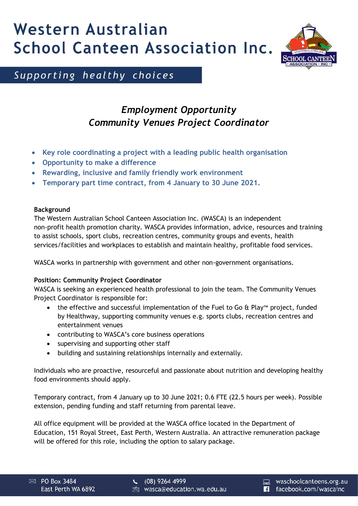# Western Australian **School Canteen Association Inc.**



Supporting healthy choices

## *Employment Opportunity Community Venues Project Coordinator*

- **Key role coordinating a project with a leading public health organisation**
- **Opportunity to make a difference**
- **Rewarding, inclusive and family friendly work environment**
- **Temporary part time contract, from 4 January to 30 June 2021.**

#### **Background**

The Western Australian School Canteen Association Inc. (WASCA) is an independent non-profit health promotion charity. WASCA provides information, advice, resources and training to assist schools, sport clubs, recreation centres, community groups and events, health services/facilities and workplaces to establish and maintain healthy, profitable food services.

WASCA works in partnership with government and other non-government organisations.

#### **Position: Community Project Coordinator**

WASCA is seeking an experienced health professional to join the team. The Community Venues Project Coordinator is responsible for:

- the effective and successful implementation of the Fuel to Go & Play™ project, funded by Healthway, supporting community venues e.g. sports clubs, recreation centres and entertainment venues
- contributing to WASCA's core business operations
- supervising and supporting other staff
- building and sustaining relationships internally and externally.

Individuals who are proactive, resourceful and passionate about nutrition and developing healthy food environments should apply.

Temporary contract, from 4 January up to 30 June 2021; 0.6 FTE (22.5 hours per week). Possible extension, pending funding and staff returning from parental leave.

All office equipment will be provided at the WASCA office located in the Department of Education, 151 Royal Street, East Perth, Western Australia. An attractive remuneration package will be offered for this role, including the option to salary package.